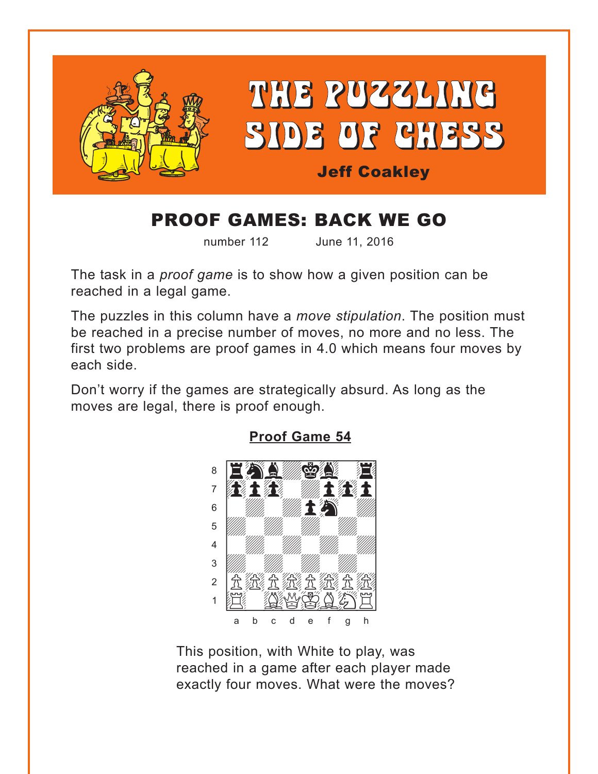<span id="page-0-0"></span>

# PROOF GAMES: BACK WE GO

number 112 June 11, 2016

The task in a *proof game* is to show how a given position can be reached in a legal game.

The puzzles in this column have a *move stipulation*. The position must be reached in a precise number of moves, no more and no less. The first two problems are proof games in 4.0 which means four moves by each side.

Don't worry if the games are strategically absurd. As long as the moves are legal, there is proof enough.



**[Proof Game 54](#page-3-0)**

This position, with White to play, was reached in a game after each player made exactly four moves. What were the moves?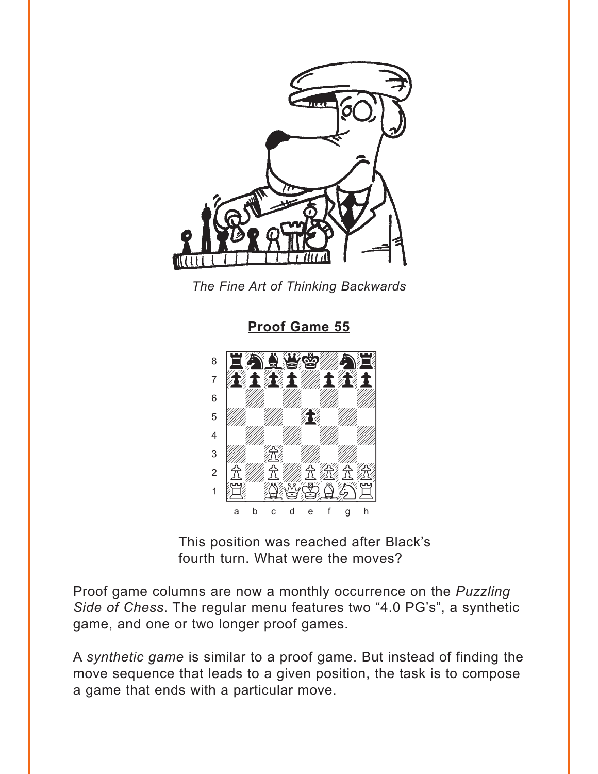<span id="page-1-0"></span>



**Proof Game 55** 



This position was reached after Black's fourth turn. What were the moves?

Proof game columns are now a monthly occurrence on the Puzzling Side of Chess. The regular menu features two "4.0 PG's", a synthetic game, and one or two longer proof games.

A synthetic game is similar to a proof game. But instead of finding the move sequence that leads to a given position, the task is to compose a game that ends with a particular move.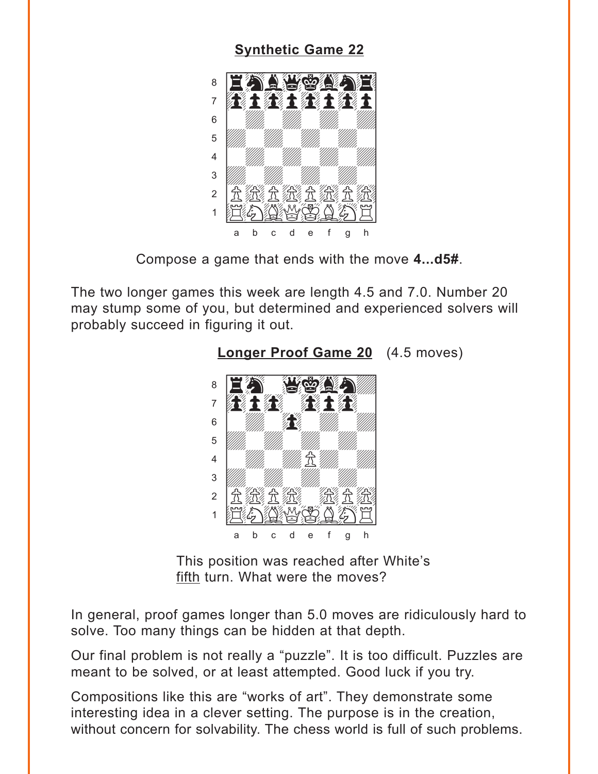#### **Synthetic Game 22**

<span id="page-2-0"></span>

Compose a game that ends with the move 4...d5#.

The two longer games this week are length 4.5 and 7.0. Number 20 may stump some of you, but determined and experienced solvers will probably succeed in figuring it out.



**Longer Proof Game 20** (4.5 moves)

This position was reached after White's fifth turn. What were the moves?

In general, proof games longer than 5.0 moves are ridiculously hard to solve. Too many things can be hidden at that depth.

Our final problem is not really a "puzzle". It is too difficult. Puzzles are meant to be solved, or at least attempted. Good luck if you try.

Compositions like this are "works of art". They demonstrate some interesting idea in a clever setting. The purpose is in the creation, without concern for solvability. The chess world is full of such problems.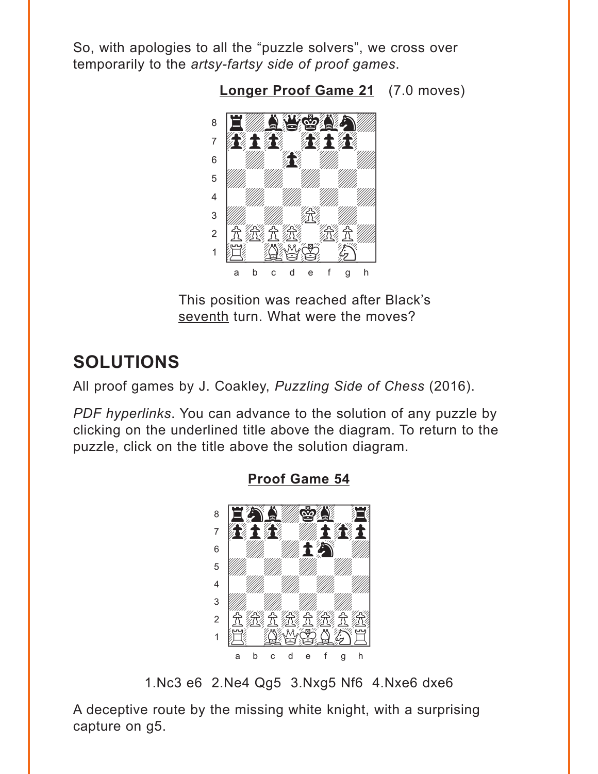<span id="page-3-0"></span>So, with apologies to all the "puzzle solvers", we cross over temporarily to the *artsy-fartsy side of proof games*.

**[Longer Proof Game 21](#page-5-0)** (7.0 moves)



This position was reached after Black's seventh turn. What were the moves?

## **SOLUTIONS**

All proof games by J. Coakley, *Puzzling Side of Chess* (2016).

*PDF hyperlinks*. You can advance to the solution of any puzzle by clicking on the underlined title above the diagram. To return to the puzzle, click on the title above the solution diagram.



**[Proof Game 54](#page-0-0)**

1.Nc3 e6 2.Ne4 Qg5 3.Nxg5 Nf6 4.Nxe6 dxe6

A deceptive route by the missing white knight, with a surprising capture on g5.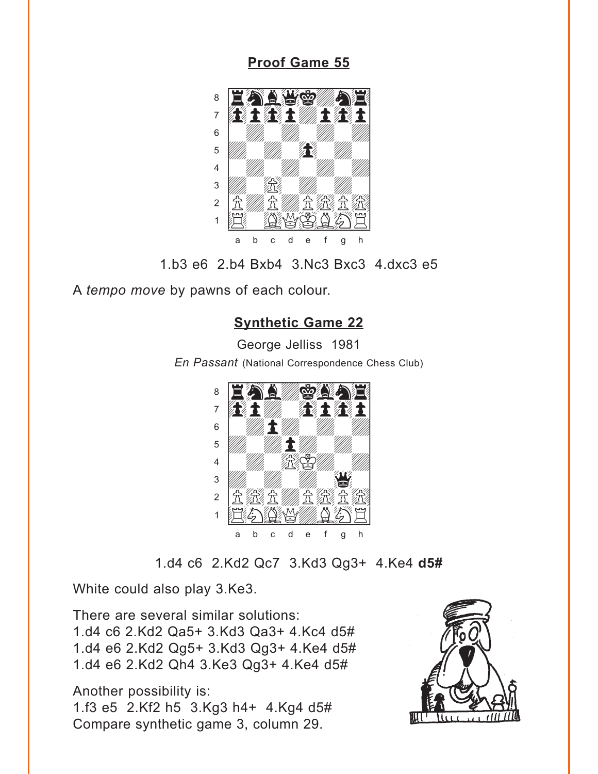<span id="page-4-0"></span>**[Proof Game 55](#page-1-0)**



1.b3 e6 2.b4 Bxb4 3.Nc3 Bxc3 4.dxc3 e5

A *tempo move* by pawns of each colour.

### **[Synthetic Game 22](#page-2-0)**

George Jelliss 1981 *En Passant* (National Correspondence Chess Club)



1.d4 c6 2.Kd2 Qc7 3.Kd3 Qg3+ 4.Ke4 **d5#**

White could also play 3.Ke3.

There are several similar solutions: 1.d4 c6 2.Kd2 Qa5+ 3.Kd3 Qa3+ 4.Kc4 d5# 1.d4 e6 2.Kd2 Qg5+ 3.Kd3 Qg3+ 4.Ke4 d5# 1.d4 e6 2.Kd2 Qh4 3.Ke3 Qg3+ 4.Ke4 d5#

Another possibility is:

1.f3 e5 2.Kf2 h5 3.Kg3 h4+ 4.Kg4 d5# Compare synthetic game 3, column 29.